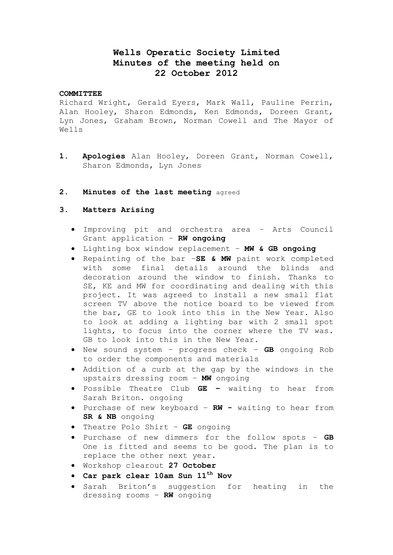# **Wells Operatic Society Limited Minutes of the meeting held on 22 October 2012**

#### **COMMITTEE**

Richard Wright, Gerald Eyers, Mark Wall, Pauline Perrin, Alan Hooley, Sharon Edmonds, Ken Edmonds, Doreen Grant, Lyn Jones, Graham Brown, Norman Cowell and The Mayor of Wells

**1. Apologies** Alan Hooley, Doreen Grant, Norman Cowell, Sharon Edmonds, Lyn Jones

### **2. Minutes of the last meeting** agreed

#### **3. Matters Arising**

- Improving pit and orchestra area Arts Council Grant application – **RW ongoing**
- Lighting box window replacement **MW & GB ongoing**
- Repainting of the bar –**SE & MW** paint work completed with some final details around the blinds and decoration around the window to finish. Thanks to SE, KE and MW for coordinating and dealing with this project. It was agreed to install a new small flat screen TV above the notice board to be viewed from the bar, GE to look into this in the New Year. Also to look at adding a lighting bar with 2 small spot lights, to focus into the corner where the TV was. GB to look into this in the New Year.
- New sound system progress check **GB** ongoing Rob to order the components and materials
- Addition of a curb at the gap by the windows in the upstairs dressing room – **MW** ongoing
- Possible Theatre Club **GE –** waiting to hear from Sarah Briton. ongoing
- Purchase of new keyboard **RW -** waiting to hear from **SR & NB** ongoing
- Theatre Polo Shirt **GE** ongoing
- Purchase of new dimmers for the follow spots **GB** One is fitted and seems to be good. The plan is to replace the other next year.
- Workshop clearout **27 October**
- **Car park clear 10am Sun 11th Nov**
- **•** Sarah Briton's suggestion for heating in the dressing rooms – **RW** ongoing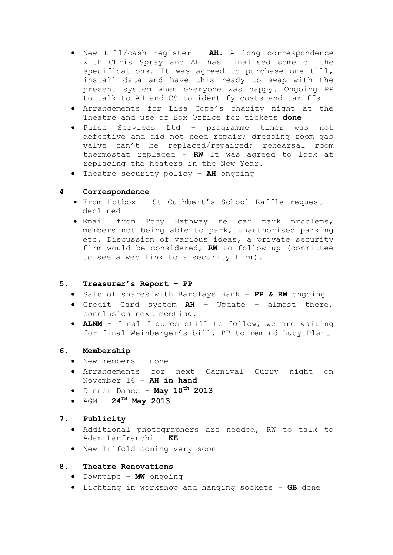- New till/cash register **AH.** A long correspondence with Chris Spray and AH has finalised some of the specifications. It was agreed to purchase one till, install data and have this ready to swap with the present system when everyone was happy. Ongoing PP to talk to AH and CS to identify costs and tariffs.
- Arrangements for Lisa Cope's charity night at the Theatre and use of Box Office for tickets **done**
- Pulse Services Ltd programme timer was not defective and did not need repair; dressing room gas valve can't be replaced/repaired; rehearsal room thermostat replaced – **RW** It was agreed to look at replacing the heaters in the New Year.
- Theatre security policy **AH** ongoing

## **4 Correspondence**

- From Hotbox St Cuthbert's School Raffle request declined
- Email from Tony Hathway re car park problems, members not being able to park, unauthorised parking etc. Discussion of various ideas, a private security firm would be considered, **RW** to follow up (committee to see a web link to a security firm).

### **5. Treasurer's Report – PP**

- Sale of shares with Barclays Bank **PP & RW** ongoing
- Credit Card system **AH** Update almost there, conclusion next meeting.
- **ALNM**  final figures still to follow, we are waiting for final Weinberger's bill. PP to remind Lucy Plant

## **6. Membership**

- New members none
- Arrangements for next Carnival Curry night on November 16 – **AH in hand**
- Dinner Dance **May 10th 2013**
- AGM **24TH May 2013**

# **7. Publicity**

- Additional photographers are needed, RW to talk to Adam Lanfranchi – **KE**
- New Trifold coming very soon

# **8. Theatre Renovations**

- Downpipe **MW** ongoing
- Lighting in workshop and hanging sockets **GB** done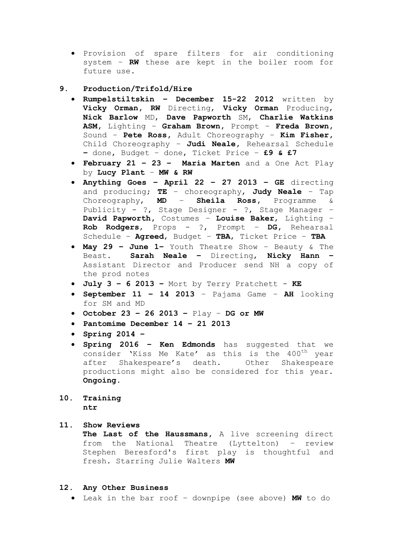- Provision of spare filters for air conditioning system – **RW** these are kept in the boiler room for future use.
- **9. Production/Trifold/Hire** 
	- **Rumpelstiltskin – December 15-22 2012** written by **Vicky Orman, RW** Directing, **Vicky Orman** Producing, **Nick Barlow** MD, **Dave Papworth** SM, **Charlie Watkins ASM,** Lighting – **Graham Brown,** Prompt – **Freda Brown,**  Sound – **Pete Ross,** Adult Choreography – **Kim Fisher,**  Child Choreography – **Judi Neale,** Rehearsal Schedule **–** done, Budget – done, Ticket Price – **£9 & £7**
	- **February 21 – 23 – Maria Marten** and a One Act Play by **Lucy Plant** – **MW & RW**
	- **Anything Goes – April 22 – 27 2013 – GE** directing and producing; **TE** – choreography, **Judy Neale** – Tap Choreography, **MD** – **Sheila Ross,** Programme & Publicity - ?, Stage Designer - ?, Stage Manager – **David Papworth,** Costumes – **Louise Baker**, Lighting – **Rob Rodgers**, Props - ?, Prompt – **DG,** Rehearsal Schedule – **Agreed**, Budget – **TBA**, Ticket Price – **TBA**
	- **May 29 – June 1–** Youth Theatre Show Beauty & The Beast. **Sarah Neale –** Directing, **Nicky Hann –** Assistant Director and Producer send NH a copy of the prod notes
	- **July 3 – 6 2013 –** Mort by Terry Pratchett **KE**
	- **September 11 – 14 2013**  Pajama Game **AH** looking for SM and MD
	- **October 23 – 26 2013 –** Play **DG or MW**
	- **Pantomime December 14 – 21 2013**
	- **Spring 2014 –**
	- **Spring 2016 – Ken Edmonds** has suggested that we consider 'Kiss Me Kate' as this is the 400<sup>th</sup> year after Shakespeare's death. Other Shakespeare productions might also be considered for this year. **Ongoing.**
- **10. Training ntr**

### **11. Show Reviews**

**The Last of the Haussmans,** A live screening direct from the National Theatre (Lyttelton) – review Stephen Beresford's first play is thoughtful and fresh. Starring Julie Walters **MW**

#### **12. Any Other Business**

Leak in the bar roof – downpipe (see above) **MW** to do